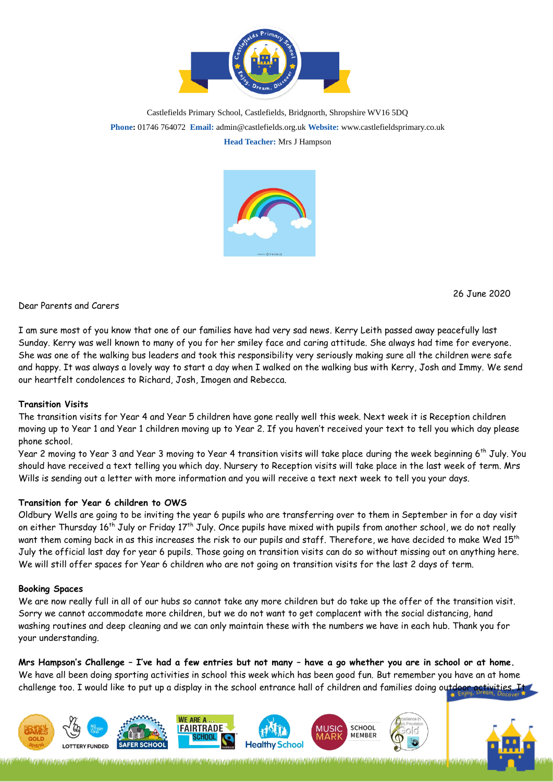

Castlefields Primary School, Castlefields, Bridgnorth, Shropshire WV16 5DQ **Phone:** 01746 764072 **Email:** admin@castlefields.org.uk **Website:** www.castlefieldsprimary.co.uk **Head Teacher:** Mrs J Hampson



26 June 2020

D[ear P](https://creativecommons.org/licenses/by/3.0/)arents and Care[rs](https://creativecommons.org/licenses/by/3.0/)

I am sure most of you know that one of our families have had very sad news. Kerry Leith passed away peacefully last Sunday. Kerry was well known to many of you for her smiley face and caring attitude. She always had time for everyone. She was one of the walking bus leaders and took this responsibility very seriously making sure all the children were safe and happy. It was always a lovely way to start a day when I walked on the walking bus with Kerry, Josh and Immy. We send our heartfelt condolences to Richard, Josh, Imogen and Rebecca.

## **Transition Visits**

The transition visits for Year 4 and Year 5 children have gone really well this week. Next week it is Reception children moving up to Year 1 and Year 1 children moving up to Year 2. If you haven't received your text to tell you which day please phone school.

Year 2 moving to Year 3 and Year 3 moving to Year 4 transition visits will take place during the week beginning 6th July. You should have received a text telling you which day. Nursery to Reception visits will take place in the last week of term. Mrs Wills is sending out a letter with more information and you will receive a text next week to tell you your days.

## **Transition for Year 6 children to OWS**

Oldbury Wells are going to be inviting the year 6 pupils who are transferring over to them in September in for a day visit on either Thursday 16<sup>th</sup> July or Friday 17<sup>th</sup> July. Once pupils have mixed with pupils from another school, we do not really want them coming back in as this increases the risk to our pupils and staff. Therefore, we have decided to make Wed 15<sup>th</sup> July the official last day for year 6 pupils. Those going on transition visits can do so without missing out on anything here. We will still offer spaces for Year 6 children who are not going on transition visits for the last 2 days of term.

#### **Booking Spaces**

We are now really full in all of our hubs so cannot take any more children but do take up the offer of the transition visit. Sorry we cannot accommodate more children, but we do not want to get complacent with the social distancing, hand washing routines and deep cleaning and we can only maintain these with the numbers we have in each hub. Thank you for your understanding.

**Mrs Hampson's Challenge – I've had a few entries but not many – have a go whether you are in school or at home.** We have all been doing sporting activities in school this week which has been good fun. But remember you have an at home challenge too. I would like to put up a display in the school entrance hall of children and families doing outdoor activities